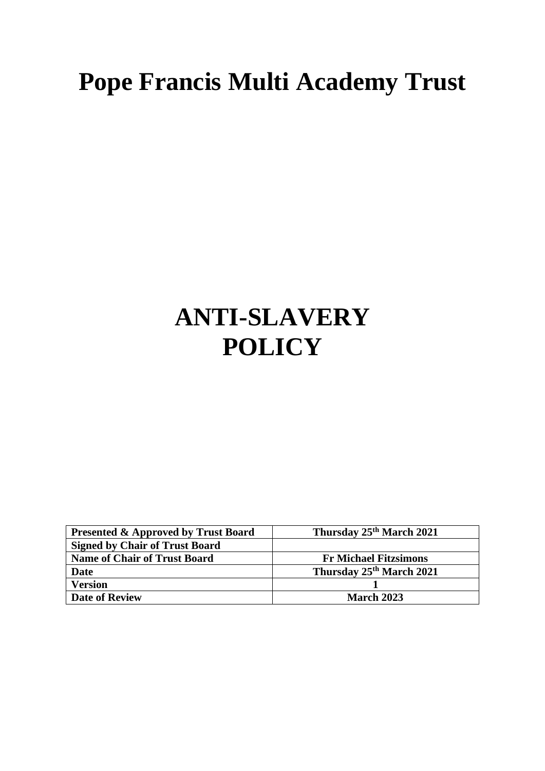# **Pope Francis Multi Academy Trust**

## **ANTI-SLAVERY POLICY**

| <b>Presented &amp; Approved by Trust Board</b> | Thursday 25 <sup>th</sup> March 2021 |
|------------------------------------------------|--------------------------------------|
| <b>Signed by Chair of Trust Board</b>          |                                      |
| <b>Name of Chair of Trust Board</b>            | <b>Fr Michael Fitzsimons</b>         |
| <b>Date</b>                                    | Thursday 25 <sup>th</sup> March 2021 |
| <b>Version</b>                                 |                                      |
| <b>Date of Review</b>                          | <b>March 2023</b>                    |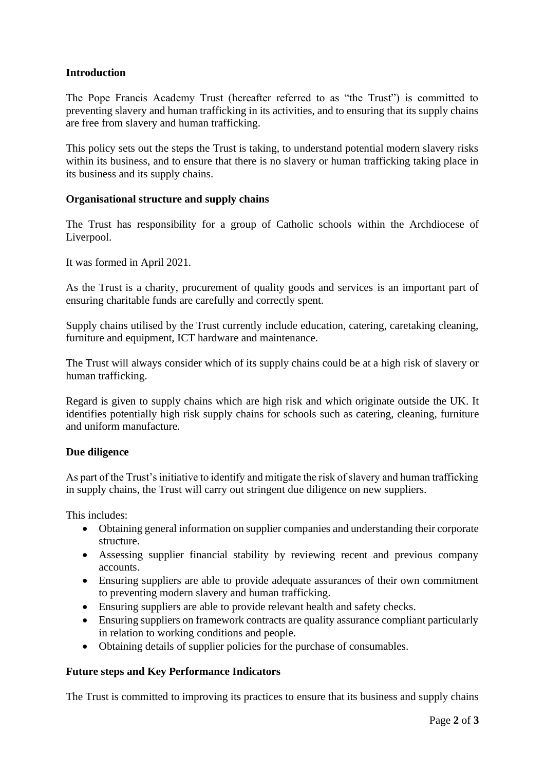## **Introduction**

The Pope Francis Academy Trust (hereafter referred to as "the Trust") is committed to preventing slavery and human trafficking in its activities, and to ensuring that its supply chains are free from slavery and human trafficking.

This policy sets out the steps the Trust is taking, to understand potential modern slavery risks within its business, and to ensure that there is no slavery or human trafficking taking place in its business and its supply chains.

### **Organisational structure and supply chains**

The Trust has responsibility for a group of Catholic schools within the Archdiocese of Liverpool.

It was formed in April 2021.

As the Trust is a charity, procurement of quality goods and services is an important part of ensuring charitable funds are carefully and correctly spent.

Supply chains utilised by the Trust currently include education, catering, caretaking cleaning, furniture and equipment, ICT hardware and maintenance.

The Trust will always consider which of its supply chains could be at a high risk of slavery or human trafficking.

Regard is given to supply chains which are high risk and which originate outside the UK. It identifies potentially high risk supply chains for schools such as catering, cleaning, furniture and uniform manufacture.

#### **Due diligence**

As part of the Trust's initiative to identify and mitigate the risk of slavery and human trafficking in supply chains, the Trust will carry out stringent due diligence on new suppliers.

This includes:

- Obtaining general information on supplier companies and understanding their corporate structure.
- Assessing supplier financial stability by reviewing recent and previous company accounts.
- Ensuring suppliers are able to provide adequate assurances of their own commitment to preventing modern slavery and human trafficking.
- Ensuring suppliers are able to provide relevant health and safety checks.
- Ensuring suppliers on framework contracts are quality assurance compliant particularly in relation to working conditions and people.
- Obtaining details of supplier policies for the purchase of consumables.

#### **Future steps and Key Performance Indicators**

The Trust is committed to improving its practices to ensure that its business and supply chains